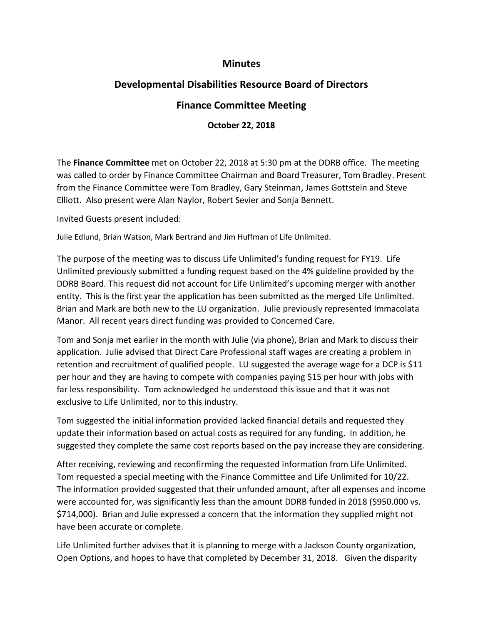## **Minutes**

## **Developmental Disabilities Resource Board of Directors**

## **Finance Committee Meeting**

## **October 22, 2018**

The **Finance Committee** met on October 22, 2018 at 5:30 pm at the DDRB office. The meeting was called to order by Finance Committee Chairman and Board Treasurer, Tom Bradley. Present from the Finance Committee were Tom Bradley, Gary Steinman, James Gottstein and Steve Elliott. Also present were Alan Naylor, Robert Sevier and Sonja Bennett.

Invited Guests present included:

Julie Edlund, Brian Watson, Mark Bertrand and Jim Huffman of Life Unlimited.

The purpose of the meeting was to discuss Life Unlimited's funding request for FY19. Life Unlimited previously submitted a funding request based on the 4% guideline provided by the DDRB Board. This request did not account for Life Unlimited's upcoming merger with another entity. This is the first year the application has been submitted as the merged Life Unlimited. Brian and Mark are both new to the LU organization. Julie previously represented Immacolata Manor. All recent years direct funding was provided to Concerned Care.

Tom and Sonja met earlier in the month with Julie (via phone), Brian and Mark to discuss their application. Julie advised that Direct Care Professional staff wages are creating a problem in retention and recruitment of qualified people. LU suggested the average wage for a DCP is \$11 per hour and they are having to compete with companies paying \$15 per hour with jobs with far less responsibility. Tom acknowledged he understood this issue and that it was not exclusive to Life Unlimited, nor to this industry.

Tom suggested the initial information provided lacked financial details and requested they update their information based on actual costs as required for any funding. In addition, he suggested they complete the same cost reports based on the pay increase they are considering.

After receiving, reviewing and reconfirming the requested information from Life Unlimited. Tom requested a special meeting with the Finance Committee and Life Unlimited for 10/22. The information provided suggested that their unfunded amount, after all expenses and income were accounted for, was significantly less than the amount DDRB funded in 2018 (\$950.000 vs. \$714,000). Brian and Julie expressed a concern that the information they supplied might not have been accurate or complete.

Life Unlimited further advises that it is planning to merge with a Jackson County organization, Open Options, and hopes to have that completed by December 31, 2018. Given the disparity